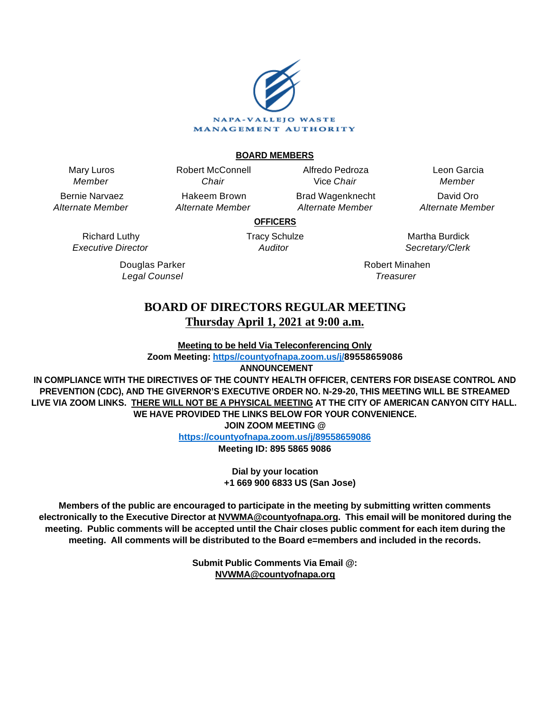

#### **BOARD MEMBERS**

Mary Luros Member

Bernie Narvaez Alternate Member

> Richard Luthy Executive Director

> > Douglas Parker Legal Counsel

Chair Hakeem Brown Alternate Member

Robert McConnell

Alfredo Pedroza Vice Chair Brad Wagenknecht

Alternate Member

Leon Garcia Member David Oro Alternate Member

**OFFICERS**

Tracy Schulze **Auditor** 

Martha Burdick Secretary/Clerk

Robert Minahen **Treasurer** 

# **BOARD OF DIRECTORS REGULAR MEETING Thursday April 1, 2021 at 9:00 a.m.**

**Meeting to be held Via Teleconferencing Only**

**Zoom Meeting: [https//countyofnapa.zoom.us/j/](http://intranetprod01/AgendaNet/Reports/https//countyofnapa.zoom.us/j/99111938225)89558659086**

 **ANNOUNCEMENT**

**IN COMPLIANCE WITH THE DIRECTIVES OF THE COUNTY HEALTH OFFICER, CENTERS FOR DISEASE CONTROL AND PREVENTION (CDC), AND THE GIVERNOR'S EXECUTIVE ORDER NO. N-29-20, THIS MEETING WILL BE STREAMED LIVE VIA ZOOM LINKS. THERE WILL NOT BE A PHYSICAL MEETING AT THE CITY OF AMERICAN CANYON CITY HALL. WE HAVE PROVIDED THE LINKS BELOW FOR YOUR CONVENIENCE.**

**JOIN ZOOM MEETING @**

**<https://countyofnapa.zoom.us/j/89558659086>**

**Meeting ID: 895 5865 9086**

**Dial by your location +1 669 900 6833 US (San Jose)**

**Members of the public are encouraged to participate in the meeting by submitting written comments electronically to the Executive Director at NVWMA@countyofnapa.org. This email will be monitored during the meeting. Public comments will be accepted until the Chair closes public comment for each item during the meeting. All comments will be distributed to the Board e=members and included in the records.**

> **Submit Public Comments Via Email @: NVWMA@countyofnapa.org**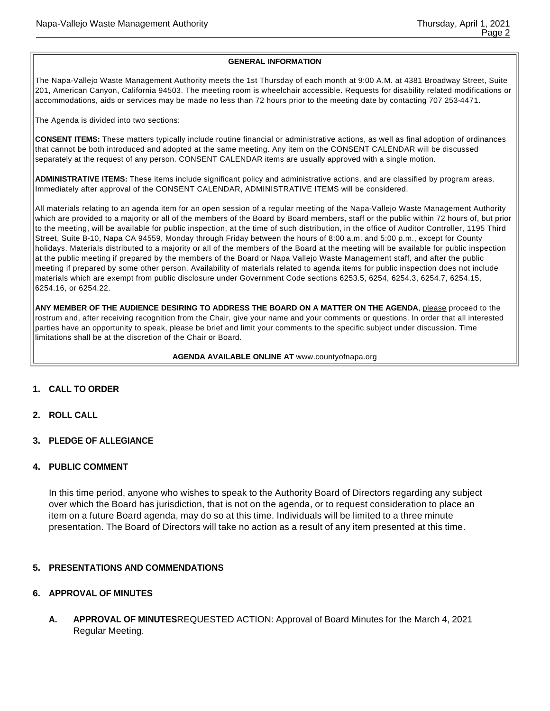#### **GENERAL INFORMATION**

The Napa-Vallejo Waste Management Authority meets the 1st Thursday of each month at 9:00 A.M. at 4381 Broadway Street, Suite 201, American Canyon, California 94503. The meeting room is wheelchair accessible. Requests for disability related modifications or accommodations, aids or services may be made no less than 72 hours prior to the meeting date by contacting 707 253-4471.

The Agenda is divided into two sections:

**CONSENT ITEMS:** These matters typically include routine financial or administrative actions, as well as final adoption of ordinances that cannot be both introduced and adopted at the same meeting. Any item on the CONSENT CALENDAR will be discussed separately at the request of any person. CONSENT CALENDAR items are usually approved with a single motion.

**ADMINISTRATIVE ITEMS:** These items include significant policy and administrative actions, and are classified by program areas. Immediately after approval of the CONSENT CALENDAR, ADMINISTRATIVE ITEMS will be considered.

All materials relating to an agenda item for an open session of a regular meeting of the Napa-Vallejo Waste Management Authority which are provided to a majority or all of the members of the Board by Board members, staff or the public within 72 hours of, but prior to the meeting, will be available for public inspection, at the time of such distribution, in the office of Auditor Controller, 1195 Third Street, Suite B-10, Napa CA 94559, Monday through Friday between the hours of 8:00 a.m. and 5:00 p.m., except for County holidays. Materials distributed to a majority or all of the members of the Board at the meeting will be available for public inspection at the public meeting if prepared by the members of the Board or Napa Vallejo Waste Management staff, and after the public meeting if prepared by some other person. Availability of materials related to agenda items for public inspection does not include materials which are exempt from public disclosure under Government Code sections 6253.5, 6254, 6254.3, 6254.7, 6254.15, 6254.16, or 6254.22.

**ANY MEMBER OF THE AUDIENCE DESIRING TO ADDRESS THE BOARD ON A MATTER ON THE AGENDA**, please proceed to the rostrum and, after receiving recognition from the Chair, give your name and your comments or questions. In order that all interested parties have an opportunity to speak, please be brief and limit your comments to the specific subject under discussion. Time limitations shall be at the discretion of the Chair or Board.

#### **AGENDA AVAILABLE ONLINE AT** www.countyofnapa.org

- **1. CALL TO ORDER**
- **2. ROLL CALL**
- **3. PLEDGE OF ALLEGIANCE**

#### **4. PUBLIC COMMENT**

In this time period, anyone who wishes to speak to the Authority Board of Directors regarding any subject over which the Board has jurisdiction, that is not on the agenda, or to request consideration to place an item on a future Board agenda, may do so at this time. Individuals will be limited to a three minute presentation. The Board of Directors will take no action as a result of any item presented at this time.

#### **5. PRESENTATIONS AND COMMENDATIONS**

# **6. APPROVAL OF MINUTES**

**A. APPROVAL OF MINUTES**REQUESTED ACTION: Approval of Board Minutes for the March 4, 2021 Regular Meeting.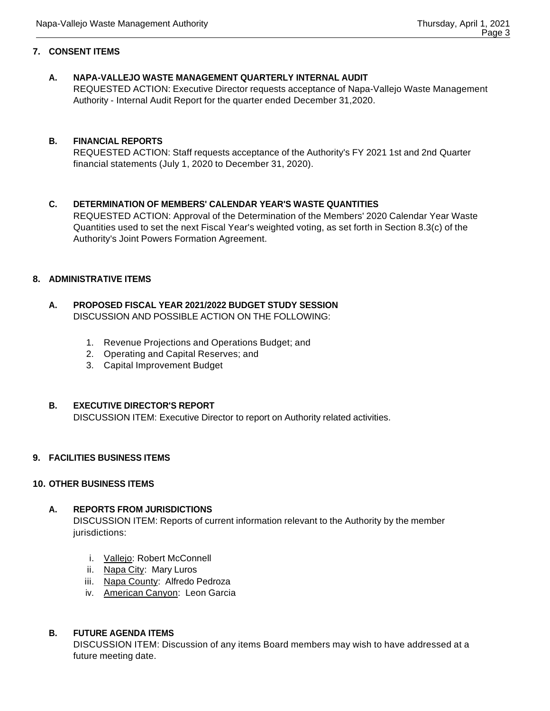# **7. CONSENT ITEMS**

# **A. NAPA-VALLEJO WASTE MANAGEMENT QUARTERLY INTERNAL AUDIT**

REQUESTED ACTION: Executive Director requests acceptance of Napa-Vallejo Waste Management Authority - Internal Audit Report for the quarter ended December 31,2020.

# **B. FINANCIAL REPORTS**

REQUESTED ACTION: Staff requests acceptance of the Authority's FY 2021 1st and 2nd Quarter financial statements (July 1, 2020 to December 31, 2020).

# **C. DETERMINATION OF MEMBERS' CALENDAR YEAR'S WASTE QUANTITIES**

REQUESTED ACTION: Approval of the Determination of the Members' 2020 Calendar Year Waste Quantities used to set the next Fiscal Year's weighted voting, as set forth in Section 8.3(c) of the Authority's Joint Powers Formation Agreement.

# **8. ADMINISTRATIVE ITEMS**

# **A. PROPOSED FISCAL YEAR 2021/2022 BUDGET STUDY SESSION** DISCUSSION AND POSSIBLE ACTION ON THE FOLLOWING:

- 1. Revenue Projections and Operations Budget; and
- 2. Operating and Capital Reserves; and
- 3. Capital Improvement Budget

# **B. EXECUTIVE DIRECTOR'S REPORT**

DISCUSSION ITEM: Executive Director to report on Authority related activities.

# **9. FACILITIES BUSINESS ITEMS**

# **10. OTHER BUSINESS ITEMS**

# **A. REPORTS FROM JURISDICTIONS**

DISCUSSION ITEM: Reports of current information relevant to the Authority by the member jurisdictions:

- i. Vallejo: Robert McConnell
- ii. Napa City: Mary Luros
- iii. Napa County: Alfredo Pedroza
- iv. American Canyon: Leon Garcia

# **B. FUTURE AGENDA ITEMS**

DISCUSSION ITEM: Discussion of any items Board members may wish to have addressed at a future meeting date.